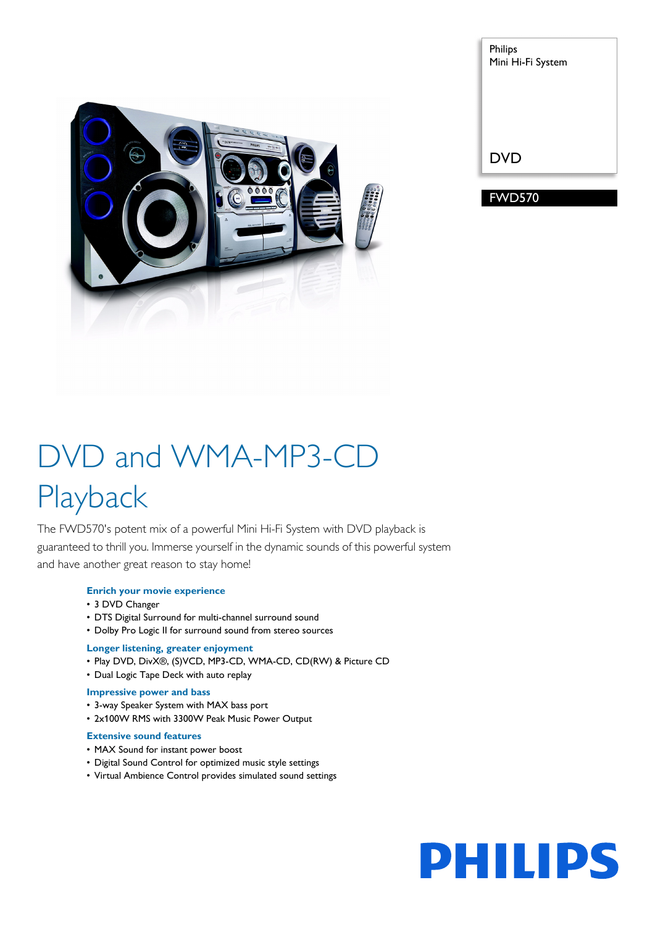

| <b>Philips</b>    |
|-------------------|
| Mini Hi-Fi System |
|                   |
|                   |
|                   |
|                   |
|                   |
| <b>DVD</b>        |
|                   |

FWD570

# DVD and WMA-MP3-CD **Playback**

The FWD570's potent mix of a powerful Mini Hi-Fi System with DVD playback is guaranteed to thrill you. Immerse yourself in the dynamic sounds of this powerful system and have another great reason to stay home!

# **Enrich your movie experience**

- 3 DVD Changer
- DTS Digital Surround for multi-channel surround sound
- Dolby Pro Logic II for surround sound from stereo sources

### **Longer listening, greater enjoyment**

- Play DVD, DivX®, (S)VCD, MP3-CD, WMA-CD, CD(RW) & Picture CD
- Dual Logic Tape Deck with auto replay

# **Impressive power and bass**

- 3-way Speaker System with MAX bass port
- 2x100W RMS with 3300W Peak Music Power Output

### **Extensive sound features**

- MAX Sound for instant power boost
- Digital Sound Control for optimized music style settings
- Virtual Ambience Control provides simulated sound settings

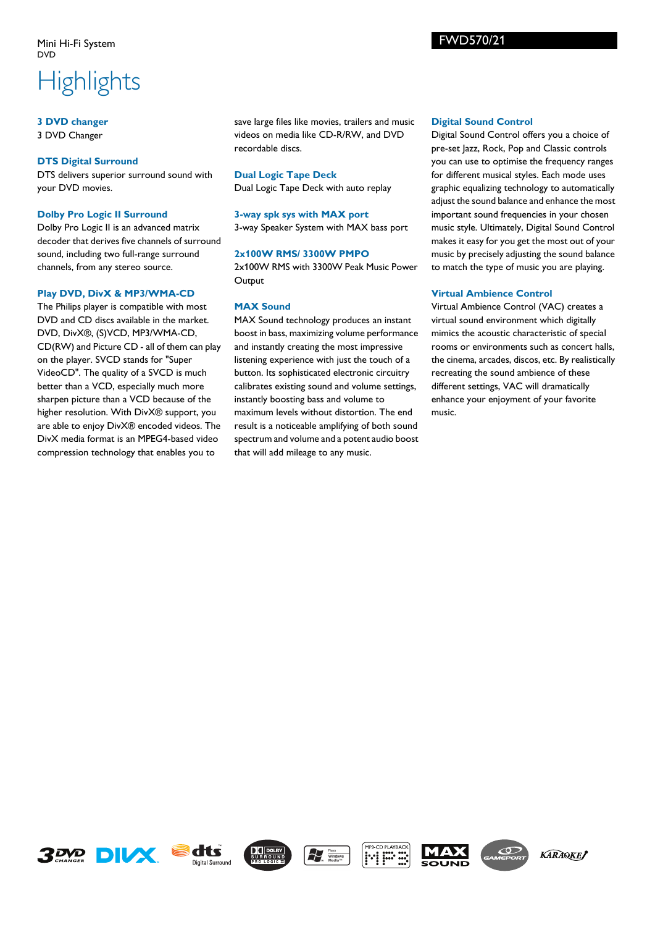# **Highlights**

### **3 DVD changer**

3 DVD Changer

# **DTS Digital Surround**

DTS delivers superior surround sound with your DVD movies.

# **Dolby Pro Logic II Surround**

Dolby Pro Logic II is an advanced matrix decoder that derives five channels of surround sound, including two full-range surround channels, from any stereo source.

# **Play DVD, DivX & MP3/WMA-CD**

The Philips player is compatible with most DVD and CD discs available in the market. DVD, DivX®, (S)VCD, MP3/WMA-CD, CD(RW) and Picture CD - all of them can play on the player. SVCD stands for "Super VideoCD". The quality of a SVCD is much better than a VCD, especially much more sharpen picture than a VCD because of the higher resolution. With DivX® support, you are able to enjoy DivX® encoded videos. The DivX media format is an MPEG4-based video compression technology that enables you to

save large files like movies, trailers and music videos on media like CD-R/RW, and DVD recordable discs.

**Dual Logic Tape Deck** Dual Logic Tape Deck with auto replay

**3-way spk sys with MAX port** 3-way Speaker System with MAX bass port

# **2x100W RMS/ 3300W PMPO**

2x100W RMS with 3300W Peak Music Power **Output** 

# **MAX Sound**

MAX Sound technology produces an instant boost in bass, maximizing volume performance and instantly creating the most impressive listening experience with just the touch of a button. Its sophisticated electronic circuitry calibrates existing sound and volume settings, instantly boosting bass and volume to maximum levels without distortion. The end result is a noticeable amplifying of both sound spectrum and volume and a potent audio boost that will add mileage to any music.

### **Digital Sound Control**

Digital Sound Control offers you a choice of pre-set Jazz, Rock, Pop and Classic controls you can use to optimise the frequency ranges for different musical styles. Each mode uses graphic equalizing technology to automatically adjust the sound balance and enhance the most important sound frequencies in your chosen music style. Ultimately, Digital Sound Control makes it easy for you get the most out of your music by precisely adjusting the sound balance to match the type of music you are playing.

# **Virtual Ambience Control**

Virtual Ambience Control (VAC) creates a virtual sound environment which digitally mimics the acoustic characteristic of special rooms or environments such as concert halls, the cinema, arcades, discos, etc. By realistically recreating the sound ambience of these different settings, VAC will dramatically enhance your enjoyment of your favorite music.